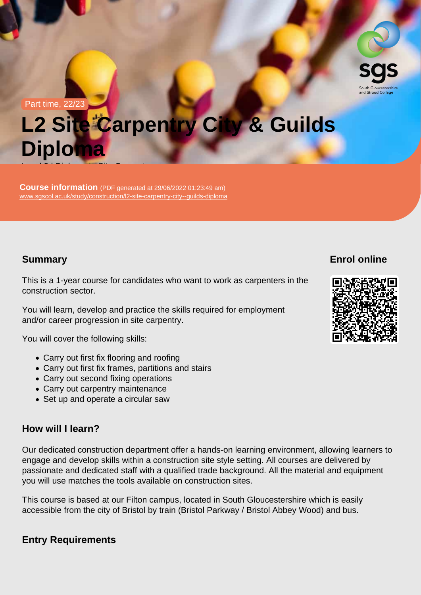#### Part time, 22/23

# L2 Site Carpentry City & Guilds Diploma Level 2 | Diploma in Site Carpentry in Site Carpentry in Site Carpentry in Site Carpentry in Site Carpentry in<br>Carpentry in Site Carpentry in Site Carpenter in Site Carpenter in Site Carpenter in Site Carpenter in Site Ca

Course information (PDF generated at 29/06/2022 01:23:49 am) [www.sgscol.ac.uk/study/construction/l2-site-carpentry-city--guilds-diploma](https://www.sgscol.ac.uk/study/construction/l2-site-carpentry-city--guilds-diploma)

## **Summary**

Enrol online

This is a 1-year course for candidates who want to work as carpenters in the construction sector.

You will learn, develop and practice the skills required for employment and/or career progression in site carpentry.

You will cover the following skills:

- Carry out first fix flooring and roofing
- Carry out first fix frames, partitions and stairs
- Carry out second fixing operations
- Carry out carpentry maintenance
- Set up and operate a circular saw

### How will I learn?

Our dedicated construction department offer a hands-on learning environment, allowing learners to engage and develop skills within a construction site style setting. All courses are delivered by passionate and dedicated staff with a qualified trade background. All the material and equipment you will use matches the tools available on construction sites.

This course is based at our Filton campus, located in South Gloucestershire which is easily accessible from the city of Bristol by train (Bristol Parkway / Bristol Abbey Wood) and bus.

Entry Requirements